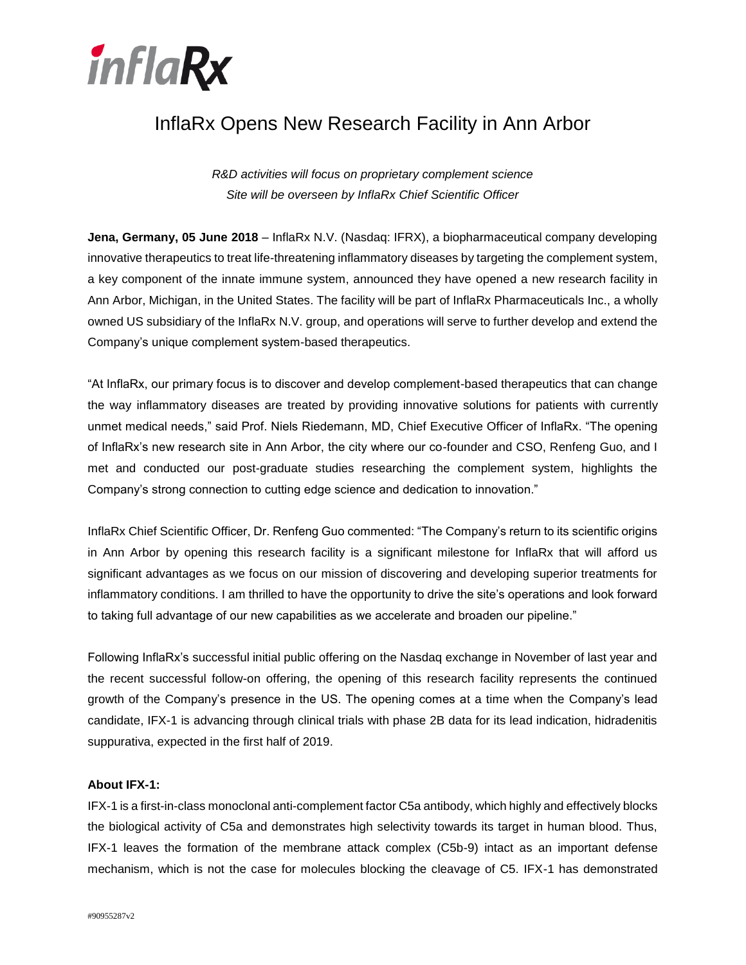

# InflaRx Opens New Research Facility in Ann Arbor

*R&D activities will focus on proprietary complement science Site will be overseen by InflaRx Chief Scientific Officer*

**Jena, Germany, 05 June 2018** – InflaRx N.V. (Nasdaq: IFRX), a biopharmaceutical company developing innovative therapeutics to treat life-threatening inflammatory diseases by targeting the complement system, a key component of the innate immune system, announced they have opened a new research facility in Ann Arbor, Michigan, in the United States. The facility will be part of InflaRx Pharmaceuticals Inc., a wholly owned US subsidiary of the InflaRx N.V. group, and operations will serve to further develop and extend the Company's unique complement system-based therapeutics.

"At InflaRx, our primary focus is to discover and develop complement-based therapeutics that can change the way inflammatory diseases are treated by providing innovative solutions for patients with currently unmet medical needs," said Prof. Niels Riedemann, MD, Chief Executive Officer of InflaRx. "The opening of InflaRx's new research site in Ann Arbor, the city where our co-founder and CSO, Renfeng Guo, and I met and conducted our post-graduate studies researching the complement system, highlights the Company's strong connection to cutting edge science and dedication to innovation."

InflaRx Chief Scientific Officer, Dr. Renfeng Guo commented: "The Company's return to its scientific origins in Ann Arbor by opening this research facility is a significant milestone for InflaRx that will afford us significant advantages as we focus on our mission of discovering and developing superior treatments for inflammatory conditions. I am thrilled to have the opportunity to drive the site's operations and look forward to taking full advantage of our new capabilities as we accelerate and broaden our pipeline."

Following InflaRx's successful initial public offering on the Nasdaq exchange in November of last year and the recent successful follow-on offering, the opening of this research facility represents the continued growth of the Company's presence in the US. The opening comes at a time when the Company's lead candidate, IFX-1 is advancing through clinical trials with phase 2B data for its lead indication, hidradenitis suppurativa, expected in the first half of 2019.

### **About IFX-1:**

IFX-1 is a first-in-class monoclonal anti-complement factor C5a antibody, which highly and effectively blocks the biological activity of C5a and demonstrates high selectivity towards its target in human blood. Thus, IFX-1 leaves the formation of the membrane attack complex (C5b-9) intact as an important defense mechanism, which is not the case for molecules blocking the cleavage of C5. IFX-1 has demonstrated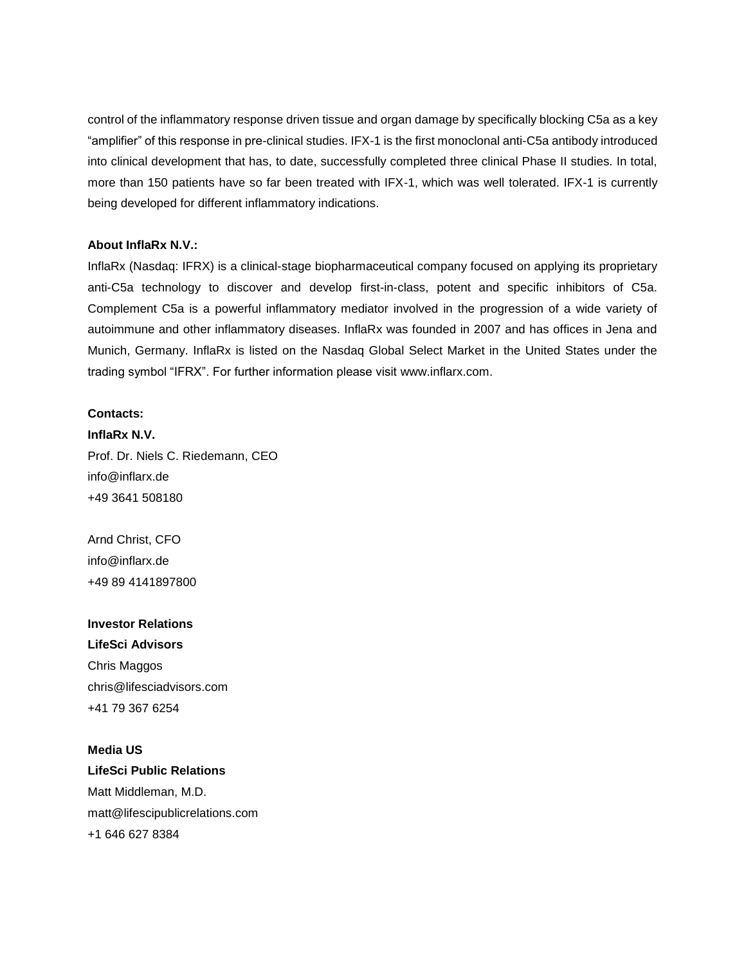control of the inflammatory response driven tissue and organ damage by specifically blocking C5a as a key "amplifier" of this response in pre-clinical studies. IFX-1 is the first monoclonal anti-C5a antibody introduced into clinical development that has, to date, successfully completed three clinical Phase II studies. In total, more than 150 patients have so far been treated with IFX-1, which was well tolerated. IFX-1 is currently being developed for different inflammatory indications.

#### **About InflaRx N.V.:**

InflaRx (Nasdaq: IFRX) is a clinical-stage biopharmaceutical company focused on applying its proprietary anti-C5a technology to discover and develop first-in-class, potent and specific inhibitors of C5a. Complement C5a is a powerful inflammatory mediator involved in the progression of a wide variety of autoimmune and other inflammatory diseases. InflaRx was founded in 2007 and has offices in Jena and Munich, Germany. InflaRx is listed on the Nasdaq Global Select Market in the United States under the trading symbol "IFRX". For further information please visit [www.inflarx.com.](http://www.inflarx.com/)

## **Contacts:**

**InflaRx N.V.** Prof. Dr. Niels C. Riedemann, CEO info@inflarx.de +49 3641 508180

Arnd Christ, CFO info@inflarx.de +49 89 4141897800

## **Investor Relations LifeSci Advisors**

Chris Maggos chris@lifesciadvisors.com +41 79 367 6254

## **Media US**

**LifeSci Public Relations** Matt Middleman, M.D. matt@lifescipublicrelations.com +1 646 627 8384